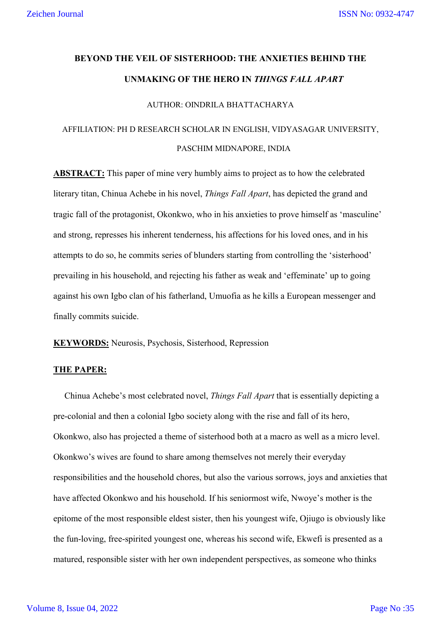# **BEYOND THE VEIL OF SISTERHOOD: THE ANXIETIES BEHIND THE UNMAKING OF THE HERO IN** *THINGS FALL APART*

### AUTHOR: OINDRILA BHATTACHARYA

## AFFILIATION: PH D RESEARCH SCHOLAR IN ENGLISH, VIDYASAGAR UNIVERSITY, PASCHIM MIDNAPORE, INDIA

**ABSTRACT:** This paper of mine very humbly aims to project as to how the celebrated literary titan, Chinua Achebe in his novel, *Things Fall Apart*, has depicted the grand and tragic fall of the protagonist, Okonkwo, who in his anxieties to prove himself as 'masculine' and strong, represses his inherent tenderness, his affections for his loved ones, and in his attempts to do so, he commits series of blunders starting from controlling the 'sisterhood' prevailing in his household, and rejecting his father as weak and 'effeminate' up to going against his own Igbo clan of his fatherland, Umuofia as he kills a European messenger and finally commits suicide.

**KEYWORDS:** Neurosis, Psychosis, Sisterhood, Repression

#### **THE PAPER:**

 Chinua Achebe's most celebrated novel, *Things Fall Apart* that is essentially depicting a pre-colonial and then a colonial Igbo society along with the rise and fall of its hero, Okonkwo, also has projected a theme of sisterhood both at a macro as well as a micro level. Okonkwo's wives are found to share among themselves not merely their everyday responsibilities and the household chores, but also the various sorrows, joys and anxieties that have affected Okonkwo and his household. If his seniormost wife, Nwoye's mother is the epitome of the most responsible eldest sister, then his youngest wife, Ojiugo is obviously like the fun-loving, free-spirited youngest one, whereas his second wife, Ekwefi is presented as a matured, responsible sister with her own independent perspectives, as someone who thinks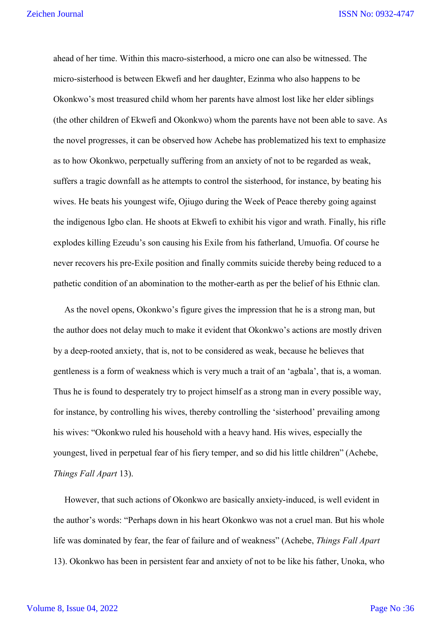ahead of her time. Within this macro-sisterhood, a micro one can also be witnessed. The micro-sisterhood is between Ekwefi and her daughter, Ezinma who also happens to be Okonkwo's most treasured child whom her parents have almost lost like her elder siblings (the other children of Ekwefi and Okonkwo) whom the parents have not been able to save. As the novel progresses, it can be observed how Achebe has problematized his text to emphasize as to how Okonkwo, perpetually suffering from an anxiety of not to be regarded as weak, suffers a tragic downfall as he attempts to control the sisterhood, for instance, by beating his wives. He beats his youngest wife, Ojiugo during the Week of Peace thereby going against the indigenous Igbo clan. He shoots at Ekwefi to exhibit his vigor and wrath. Finally, his rifle explodes killing Ezeudu's son causing his Exile from his fatherland, Umuofia. Of course he never recovers his pre-Exile position and finally commits suicide thereby being reduced to a pathetic condition of an abomination to the mother-earth as per the belief of his Ethnic clan.

 As the novel opens, Okonkwo's figure gives the impression that he is a strong man, but the author does not delay much to make it evident that Okonkwo's actions are mostly driven by a deep-rooted anxiety, that is, not to be considered as weak, because he believes that gentleness is a form of weakness which is very much a trait of an 'agbala', that is, a woman. Thus he is found to desperately try to project himself as a strong man in every possible way, for instance, by controlling his wives, thereby controlling the 'sisterhood' prevailing among his wives: "Okonkwo ruled his household with a heavy hand. His wives, especially the youngest, lived in perpetual fear of his fiery temper, and so did his little children" (Achebe, *Things Fall Apart* 13).

 However, that such actions of Okonkwo are basically anxiety-induced, is well evident in the author's words: "Perhaps down in his heart Okonkwo was not a cruel man. But his whole life was dominated by fear, the fear of failure and of weakness" (Achebe, *Things Fall Apart* 13). Okonkwo has been in persistent fear and anxiety of not to be like his father, Unoka, who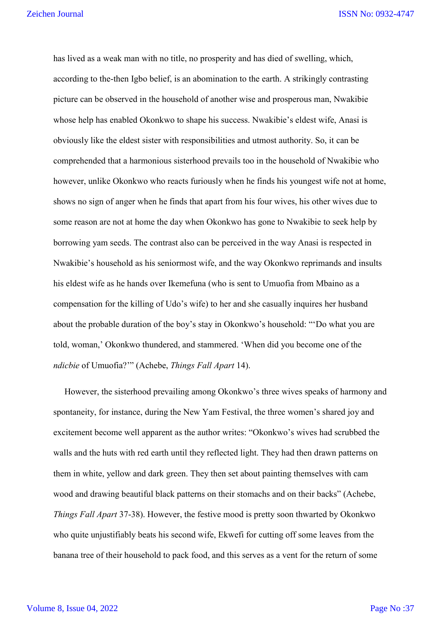has lived as a weak man with no title, no prosperity and has died of swelling, which, according to the-then Igbo belief, is an abomination to the earth. A strikingly contrasting picture can be observed in the household of another wise and prosperous man, Nwakibie whose help has enabled Okonkwo to shape his success. Nwakibie's eldest wife, Anasi is obviously like the eldest sister with responsibilities and utmost authority. So, it can be comprehended that a harmonious sisterhood prevails too in the household of Nwakibie who however, unlike Okonkwo who reacts furiously when he finds his youngest wife not at home, shows no sign of anger when he finds that apart from his four wives, his other wives due to some reason are not at home the day when Okonkwo has gone to Nwakibie to seek help by borrowing yam seeds. The contrast also can be perceived in the way Anasi is respected in Nwakibie's household as his seniormost wife, and the way Okonkwo reprimands and insults his eldest wife as he hands over Ikemefuna (who is sent to Umuofia from Mbaino as a compensation for the killing of Udo's wife) to her and she casually inquires her husband about the probable duration of the boy's stay in Okonkwo's household: "'Do what you are told, woman,' Okonkwo thundered, and stammered. 'When did you become one of the *ndicbie* of Umuofia?'" (Achebe, *Things Fall Apart* 14).

 However, the sisterhood prevailing among Okonkwo's three wives speaks of harmony and spontaneity, for instance, during the New Yam Festival, the three women's shared joy and excitement become well apparent as the author writes: "Okonkwo's wives had scrubbed the walls and the huts with red earth until they reflected light. They had then drawn patterns on them in white, yellow and dark green. They then set about painting themselves with cam wood and drawing beautiful black patterns on their stomachs and on their backs" (Achebe, *Things Fall Apart* 37-38). However, the festive mood is pretty soon thwarted by Okonkwo who quite unjustifiably beats his second wife, Ekwefi for cutting off some leaves from the banana tree of their household to pack food, and this serves as a vent for the return of some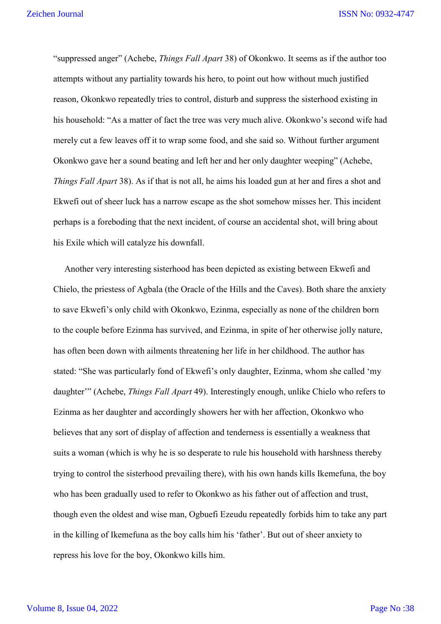"suppressed anger" (Achebe, *Things Fall Apart* 38) of Okonkwo. It seems as if the author too attempts without any partiality towards his hero, to point out how without much justified reason, Okonkwo repeatedly tries to control, disturb and suppress the sisterhood existing in his household: "As a matter of fact the tree was very much alive. Okonkwo's second wife had merely cut a few leaves off it to wrap some food, and she said so. Without further argument Okonkwo gave her a sound beating and left her and her only daughter weeping" (Achebe, *Things Fall Apart* 38). As if that is not all, he aims his loaded gun at her and fires a shot and Ekwefi out of sheer luck has a narrow escape as the shot somehow misses her. This incident perhaps is a foreboding that the next incident, of course an accidental shot, will bring about his Exile which will catalyze his downfall.

 Another very interesting sisterhood has been depicted as existing between Ekwefi and Chielo, the priestess of Agbala (the Oracle of the Hills and the Caves). Both share the anxiety to save Ekwefi's only child with Okonkwo, Ezinma, especially as none of the children born to the couple before Ezinma has survived, and Ezinma, in spite of her otherwise jolly nature, has often been down with ailments threatening her life in her childhood. The author has stated: "She was particularly fond of Ekwefi's only daughter, Ezinma, whom she called 'my daughter'" (Achebe, *Things Fall Apart* 49). Interestingly enough, unlike Chielo who refers to Ezinma as her daughter and accordingly showers her with her affection, Okonkwo who believes that any sort of display of affection and tenderness is essentially a weakness that suits a woman (which is why he is so desperate to rule his household with harshness thereby trying to control the sisterhood prevailing there), with his own hands kills Ikemefuna, the boy who has been gradually used to refer to Okonkwo as his father out of affection and trust, though even the oldest and wise man, Ogbuefi Ezeudu repeatedly forbids him to take any part in the killing of Ikemefuna as the boy calls him his 'father'. But out of sheer anxiety to repress his love for the boy, Okonkwo kills him.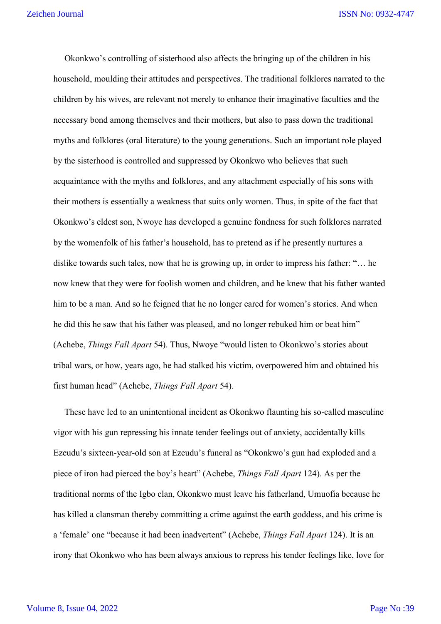Okonkwo's controlling of sisterhood also affects the bringing up of the children in his household, moulding their attitudes and perspectives. The traditional folklores narrated to the children by his wives, are relevant not merely to enhance their imaginative faculties and the necessary bond among themselves and their mothers, but also to pass down the traditional myths and folklores (oral literature) to the young generations. Such an important role played by the sisterhood is controlled and suppressed by Okonkwo who believes that such acquaintance with the myths and folklores, and any attachment especially of his sons with their mothers is essentially a weakness that suits only women. Thus, in spite of the fact that Okonkwo's eldest son, Nwoye has developed a genuine fondness for such folklores narrated by the womenfolk of his father's household, has to pretend as if he presently nurtures a dislike towards such tales, now that he is growing up, in order to impress his father: "… he now knew that they were for foolish women and children, and he knew that his father wanted him to be a man. And so he feigned that he no longer cared for women's stories. And when he did this he saw that his father was pleased, and no longer rebuked him or beat him" (Achebe, *Things Fall Apart* 54). Thus, Nwoye "would listen to Okonkwo's stories about tribal wars, or how, years ago, he had stalked his victim, overpowered him and obtained his first human head" (Achebe, *Things Fall Apart* 54).

 These have led to an unintentional incident as Okonkwo flaunting his so-called masculine vigor with his gun repressing his innate tender feelings out of anxiety, accidentally kills Ezeudu's sixteen-year-old son at Ezeudu's funeral as "Okonkwo's gun had exploded and a piece of iron had pierced the boy's heart" (Achebe, *Things Fall Apart* 124). As per the traditional norms of the Igbo clan, Okonkwo must leave his fatherland, Umuofia because he has killed a clansman thereby committing a crime against the earth goddess, and his crime is a 'female' one "because it had been inadvertent" (Achebe, *Things Fall Apart* 124). It is an irony that Okonkwo who has been always anxious to repress his tender feelings like, love for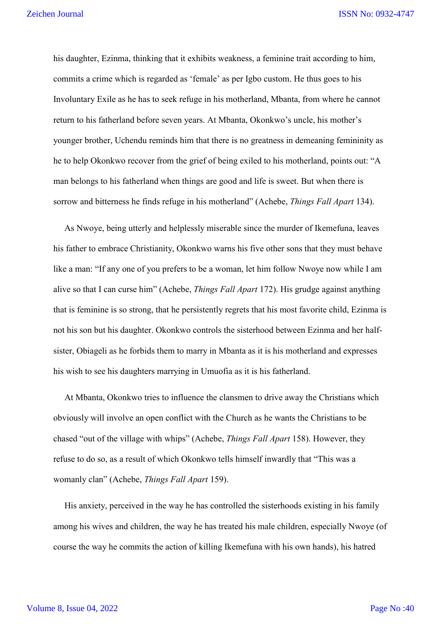his daughter, Ezinma, thinking that it exhibits weakness, a feminine trait according to him, commits a crime which is regarded as 'female' as per Igbo custom. He thus goes to his Involuntary Exile as he has to seek refuge in his motherland, Mbanta, from where he cannot return to his fatherland before seven years. At Mbanta, Okonkwo's uncle, his mother's younger brother, Uchendu reminds him that there is no greatness in demeaning femininity as he to help Okonkwo recover from the grief of being exiled to his motherland, points out: "A man belongs to his fatherland when things are good and life is sweet. But when there is sorrow and bitterness he finds refuge in his motherland" (Achebe, *Things Fall Apart* 134).

 As Nwoye, being utterly and helplessly miserable since the murder of Ikemefuna, leaves his father to embrace Christianity, Okonkwo warns his five other sons that they must behave like a man: "If any one of you prefers to be a woman, let him follow Nwoye now while I am alive so that I can curse him" (Achebe, *Things Fall Apart* 172). His grudge against anything that is feminine is so strong, that he persistently regrets that his most favorite child, Ezinma is not his son but his daughter. Okonkwo controls the sisterhood between Ezinma and her halfsister, Obiageli as he forbids them to marry in Mbanta as it is his motherland and expresses his wish to see his daughters marrying in Umuofia as it is his fatherland.

 At Mbanta, Okonkwo tries to influence the clansmen to drive away the Christians which obviously will involve an open conflict with the Church as he wants the Christians to be chased "out of the village with whips" (Achebe, *Things Fall Apart* 158). However, they refuse to do so, as a result of which Okonkwo tells himself inwardly that "This was a womanly clan" (Achebe, *Things Fall Apart* 159).

 His anxiety, perceived in the way he has controlled the sisterhoods existing in his family among his wives and children, the way he has treated his male children, especially Nwoye (of course the way he commits the action of killing Ikemefuna with his own hands), his hatred